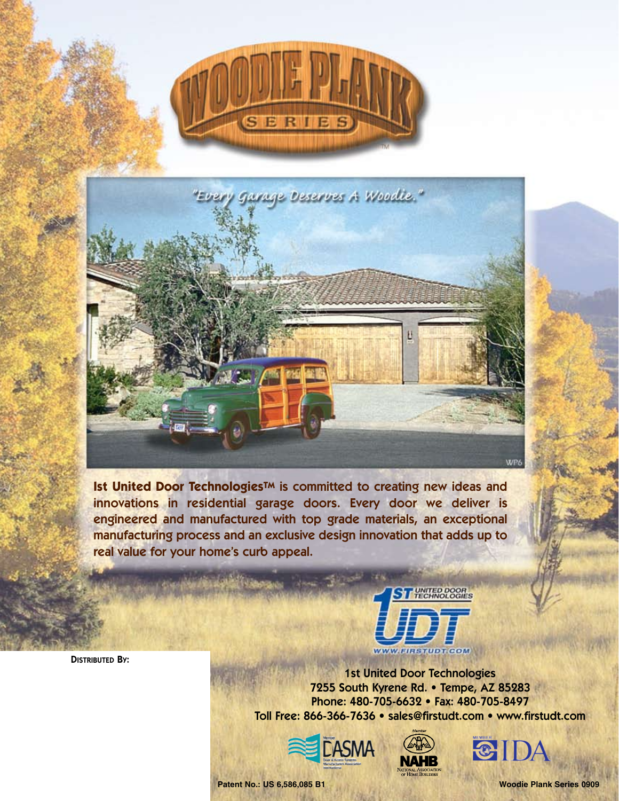



**Ist United Door Technologies™** is committed to creating new ideas and innovations in residential garage doors. Every door we deliver is engineered and manufactured with top grade materials, an exceptional manufacturing process and an exclusive design innovation that adds up to real value for your home's curb appeal.

**DISTRIBUTED By:** 



1st United Door Technologies 7255 South Kyrene Rd. • Tempe, AZ 85283 Phone: 480-705-6632 • Fax: 480-705-8497 Toll Free: 866-366-7636 • sales@firstudt.com • www.firstudt.com







**Patent No.: US 6,586,085 B1 Woodie Plank Series 0909**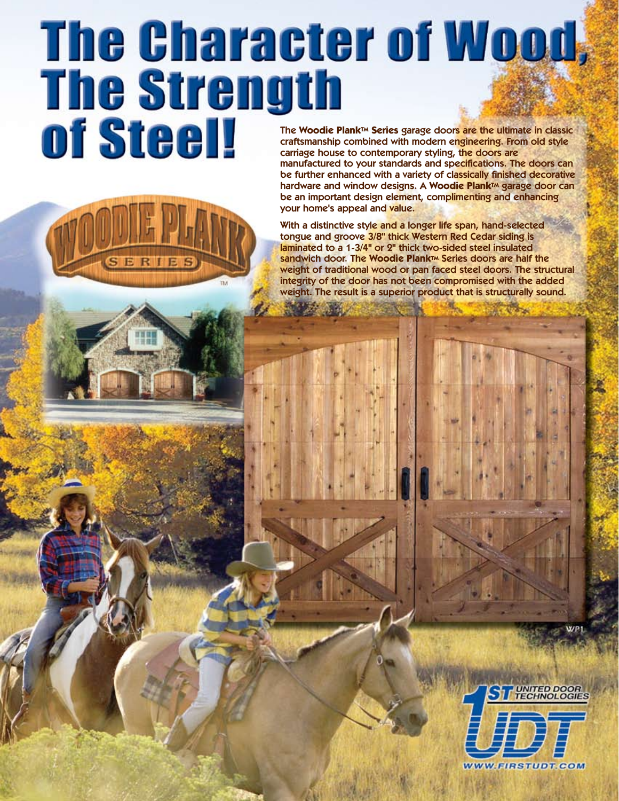# **The Character of Wood!** The Strentsmanship combined with modern engineering. From old style<br> **Of Steel!** Steel Street and Street by a contemporary styling, the doors are craftsmanship combined with modern engineering. From old style carriage house to contemporary styling, the doors are

ERIE

manufactured to your standards and specifications. The doors can be further enhanced with a variety of classically finished decorative hardware and window designs. A Woodie Plank<sup>TM</sup> garage door can be an important design element, complimenting and enhancing your home's appeal and value.

With a distinctive style and a longer life span, hand-selected tongue and groove 3/8" thick Western Red Cedar siding is laminated to a 1-3/4" or 2" thick two-sided steel insulated sandwich door. The **Woodie PlankTM** Series doors are half the weight of traditional wood or pan faced steel doors. The structural integrity of the door has not been compromised with the added weight. The result is a superior product that is structurally sound.

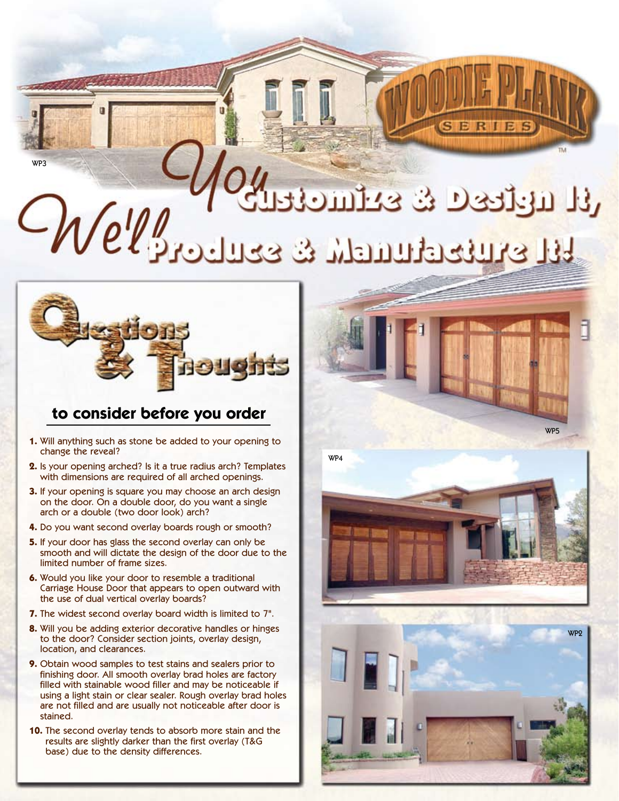## TH ULICEC & STIMORELL  $/$ ell $\ell$ **FAL SYLLDER ENDER STRA**



WP3

### **to consider before you order**

- **1.** Will anything such as stone be added to your opening to change the reveal?
- **2.** Is your opening arched? Is it a true radius arch? Templates with dimensions are required of all arched openings.
- **3.** If your opening is square you may choose an arch design on the door. On a double door, do you want a single arch or a double (two door look) arch?
- **4.** Do you want second overlay boards rough or smooth?
- **5.** If your door has glass the second overlay can only be smooth and will dictate the design of the door due to the limited number of frame sizes.
- **6.** Would you like your door to resemble a traditional Carriage House Door that appears to open outward with the use of dual vertical overlay boards?
- **7.** The widest second overlay board width is limited to 7".
- **8.** Will you be adding exterior decorative handles or hinges to the door? Consider section joints, overlay design, location, and clearances.
- **9.** Obtain wood samples to test stains and sealers prior to finishing door. All smooth overlay brad holes are factory filled with stainable wood filler and may be noticeable if using a light stain or clear sealer. Rough overlay brad holes are not filled and are usually not noticeable after door is stained.
- **10.** The second overlay tends to absorb more stain and the results are slightly darker than the first overlay (T&G base) due to the density differences.



WP4